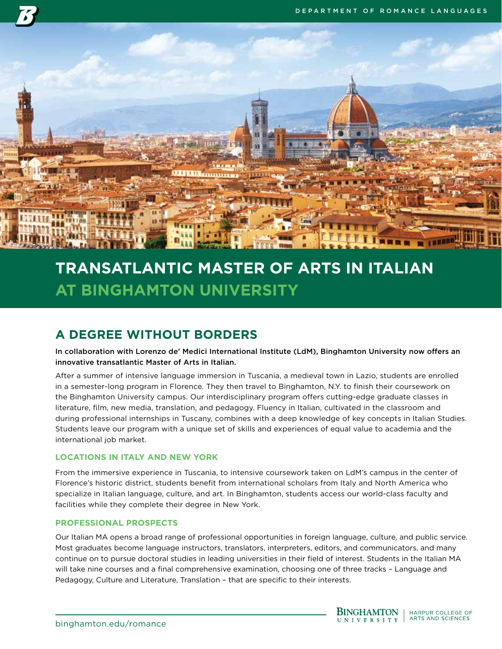

# **TRANSATLANTIC MASTER OF ARTS IN ITALIAN AT BINGHAMTON UNIVERSITY**

# **A DEGREE WITHOUT BORDERS**

In collaboration with Lorenzo de' Medici International Institute (LdM), Binghamton University now offers an innovative transatlantic Master of Arts in Italian.

After a summer of intensive language immersion in Tuscania, a medieval town in Lazio, students are enrolled in a semester-long program in Florence. They then travel to Binghamton, N.Y. to finish their coursework on the Binghamton University campus. Our interdisciplinary program offers cutting-edge graduate classes in literature, film, new media, translation, and pedagogy. Fluency in Italian, cultivated in the classroom and during professional internships in Tuscany, combines with a deep knowledge of key concepts in Italian Studies. Students leave our program with a unique set of skills and experiences of equal value to academia and the international job market.

# **LOCATIONS IN ITALY AND NEW YORK**

From the immersive experience in Tuscania, to intensive coursework taken on LdM's campus in the center of Florence's historic district, students benefit from international scholars from Italy and North America who specialize in Italian language, culture, and art. In Binghamton, students access our world-class faculty and facilities while they complete their degree in New York.

# **PROFESSIONAL PROSPECTS**

Our Italian MA opens a broad range of professional opportunities in foreign language, culture, and public service. Most graduates become language instructors, translators, interpreters, editors, and communicators, and many continue on to pursue doctoral studies in leading universities in their field of interest. Students in the Italian MA will take nine courses and a final comprehensive examination, choosing one of three tracks – Language and Pedagogy, Culture and Literature, Translation – that are specific to their interests.